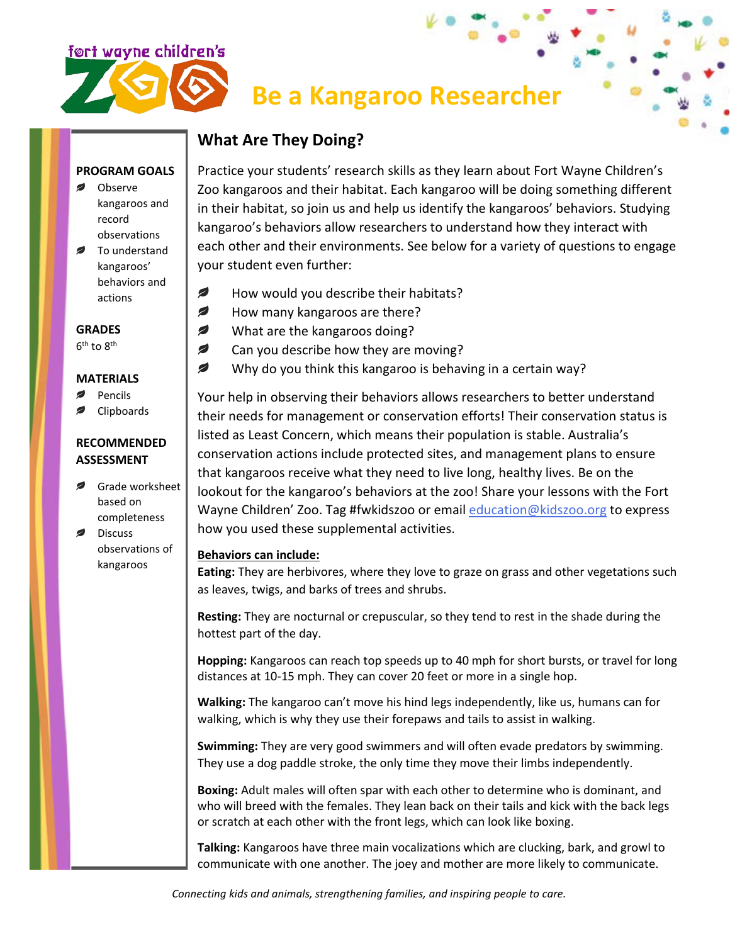

# **Be a Kangaroo Researcher**

# **What Are They Doing?**

#### **PROGRAM GOALS**

- Observe kangaroos and record observations
- To understand kangaroos' behaviors and actions

#### **GRADES**

6<sup>th</sup> to 8<sup>th</sup>

#### **MATERIALS**

- Pencils
- Clipboards

## **RECOMMENDED ASSESSMENT**

- Grade worksheet based on completeness
- Discuss observations of kangaroos

Practice your students' research skills as they learn about Fort Wayne Children's Zoo kangaroos and their habitat. Each kangaroo will be doing something different in their habitat, so join us and help us identify the kangaroos' behaviors. Studying kangaroo's behaviors allow researchers to understand how they interact with each other and their environments. See below for a variety of questions to engage your student even further:

- Ø How would you describe their habitats?
- ◢ How many kangaroos are there?
- ◢ What are the kangaroos doing?
- Ø Can you describe how they are moving?
- Ø Why do you think this kangaroo is behaving in a certain way?

Your help in observing their behaviors allows researchers to better understand their needs for management or conservation efforts! Their conservation status is listed as Least Concern, which means their population is stable. Australia's conservation actions include protected sites, and management plans to ensure that kangaroos receive what they need to live long, healthy lives. Be on the lookout for the kangaroo's behaviors at the zoo! Share your lessons with the Fort Wayne Children' Zoo. Tag #fwkidszoo or email [education@kidszoo.org](mailto:education@kidszoo.org) to express how you used these supplemental activities.

### **Behaviors can include:**

**Eating:** They are herbivores, where they love to graze on grass and other vegetations such as leaves, twigs, and barks of trees and shrubs.

**Resting:** They are nocturnal or crepuscular, so they tend to rest in the shade during the hottest part of the day.

**Hopping:** Kangaroos can reach top speeds up to 40 mph for short bursts, or travel for long distances at 10-15 mph. They can cover 20 feet or more in a single hop.

**Walking:** The kangaroo can't move his hind legs independently, like us, humans can for walking, which is why they use their forepaws and tails to assist in walking.

**Swimming:** They are very good swimmers and will often evade predators by swimming. They use a dog paddle stroke, the only time they move their limbs independently.

**Boxing:** Adult males will often spar with each other to determine who is dominant, and who will breed with the females. They lean back on their tails and kick with the back legs or scratch at each other with the front legs, which can look like boxing.

**Talking:** Kangaroos have three main vocalizations which are clucking, bark, and growl to communicate with one another. The joey and mother are more likely to communicate.

*Connecting kids and animals, strengthening families, and inspiring people to care.*